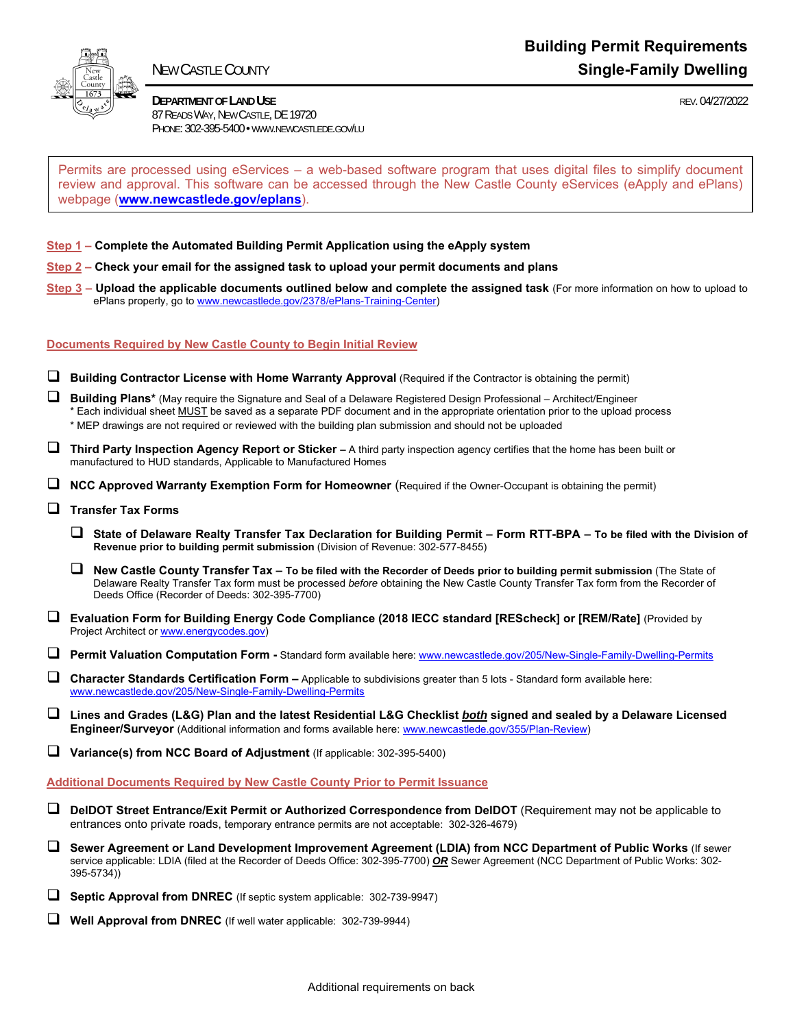

I

**DEPARTMENT OF LAND USE REV. 04/27/2022**  87 READS WAY, NEW CASTLE, DE 19720 PHONE: 302-395-5400 • WWW.NEWCASTLEDE.GOV/LU

Permits are processed using eServices – a web-based software program that uses digital files to simplify document review and approval. This software can be accessed through the New Castle County eServices (eApply and ePlans) webpage (**www.newcastlede.gov/eplans**).

#### **Step 1 – Complete the Automated Building Permit Application using the eApply system**

- **Step 2 Check your email for the assigned task to upload your permit documents and plans**
- **Step 3 Upload the applicable documents outlined below and complete the assigned task** (For more information on how to upload to ePlans properly, go to www.newcastlede.gov/2378/ePlans-Training-Center)

#### **Documents Required by New Castle County to Begin Initial Review**

- **Building Contractor License with Home Warranty Approval** (Required if the Contractor is obtaining the permit)
- **Building Plans\*** (May require the Signature and Seal of a Delaware Registered Design Professional Architect/Engineer \* Each individual sheet MUST be saved as a separate PDF document and in the appropriate orientation prior to the upload process \* MEP drawings are not required or reviewed with the building plan submission and should not be uploaded
- **Third Party Inspection Agency Report or Sticker** A third party inspection agency certifies that the home has been built or manufactured to HUD standards, Applicable to Manufactured Homes
- **NCC Approved Warranty Exemption Form for Homeowner** (Required if the Owner-Occupant is obtaining the permit)
- **Transfer Tax Forms**
	- **State of Delaware Realty Transfer Tax Declaration for Building Permit Form RTT-BPA To be filed with the Division of Revenue prior to building permit submission** (Division of Revenue: 302-577-8455)
	- **New Castle County Transfer Tax To be filed with the Recorder of Deeds prior to building permit submission** (The State of Delaware Realty Transfer Tax form must be processed *before* obtaining the New Castle County Transfer Tax form from the Recorder of Deeds Office (Recorder of Deeds: 302-395-7700)
- **Evaluation Form for Building Energy Code Compliance (2018 IECC standard [REScheck] or [REM/Rate]** (Provided by Project Architect or www.energycodes.gov)

**Permit Valuation Computation Form -** Standard form available here: www.newcastlede.gov/205/New-Single-Family-Dwelling-Permits

 **Character Standards Certification Form –** Applicable to subdivisions greater than 5 lots - Standard form available here: www.newcastlede.gov/205/New-Single-Family-Dwelling-Permits

 **Lines and Grades (L&G) Plan and the latest Residential L&G Checklist** *both* **signed and sealed by a Delaware Licensed Engineer/Surveyor** (Additional information and forms available here: www.newcastlede.gov/355/Plan-Review)

**U** Variance(s) from NCC Board of Adjustment (If applicable: 302-395-5400)

**Additional Documents Required by New Castle County Prior to Permit Issuance** 

- **DelDOT Street Entrance/Exit Permit or Authorized Correspondence from DelDOT** (Requirement may not be applicable to entrances onto private roads, temporary entrance permits are not acceptable: 302-326-4679)
- **Sewer Agreement or Land Development Improvement Agreement (LDIA) from NCC Department of Public Works** (If sewer service applicable: LDIA (filed at the Recorder of Deeds Office: 302-395-7700) *OR* Sewer Agreement (NCC Department of Public Works: 302- 395-5734))
- **Septic Approval from DNREC** (If septic system applicable: 302-739-9947)
- **Well Approval from DNREC** (If well water applicable: 302-739-9944)